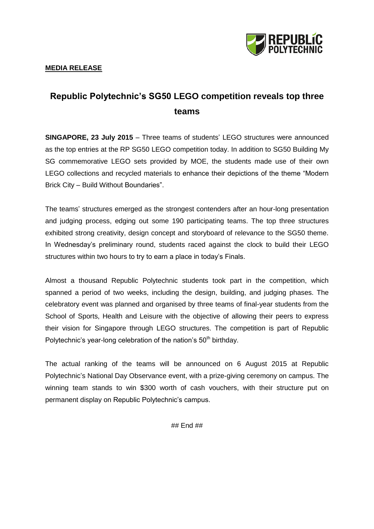

## **MEDIA RELEASE**

## **Republic Polytechnic's SG50 LEGO competition reveals top three teams**

**SINGAPORE, 23 July 2015** – Three teams of students' LEGO structures were announced as the top entries at the RP SG50 LEGO competition today. In addition to SG50 Building My SG commemorative LEGO sets provided by MOE, the students made use of their own LEGO collections and recycled materials to enhance their depictions of the theme "Modern Brick City – Build Without Boundaries".

The teams' structures emerged as the strongest contenders after an hour-long presentation and judging process, edging out some 190 participating teams. The top three structures exhibited strong creativity, design concept and storyboard of relevance to the SG50 theme. In Wednesday's preliminary round, students raced against the clock to build their LEGO structures within two hours to try to earn a place in today's Finals.

Almost a thousand Republic Polytechnic students took part in the competition, which spanned a period of two weeks, including the design, building, and judging phases. The celebratory event was planned and organised by three teams of final-year students from the School of Sports, Health and Leisure with the objective of allowing their peers to express their vision for Singapore through LEGO structures. The competition is part of Republic Polytechnic's year-long celebration of the nation's  $50<sup>th</sup>$  birthday.

The actual ranking of the teams will be announced on 6 August 2015 at Republic Polytechnic's National Day Observance event, with a prize-giving ceremony on campus. The winning team stands to win \$300 worth of cash vouchers, with their structure put on permanent display on Republic Polytechnic's campus.

## End ##